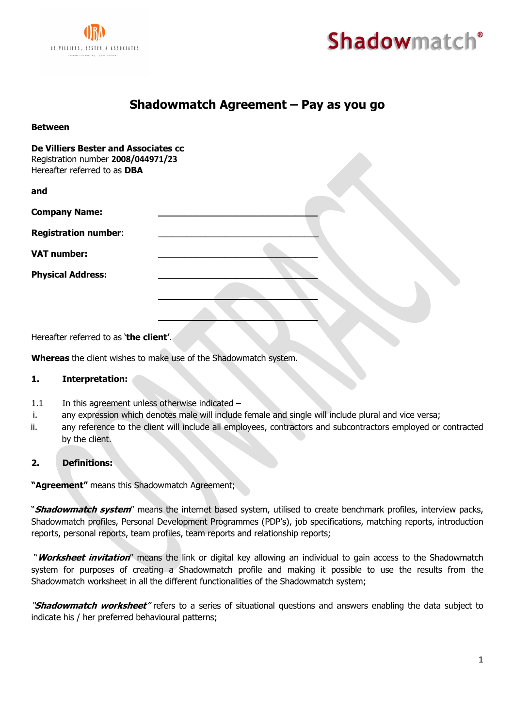

**Between**



# **Shadowmatch Agreement – Pay as you go**

| De Villiers Bester and Associates cc<br>Registration number 2008/044971/23<br>Hereafter referred to as DBA |  |
|------------------------------------------------------------------------------------------------------------|--|
| and                                                                                                        |  |
| <b>Company Name:</b>                                                                                       |  |
| <b>Registration number:</b>                                                                                |  |
| <b>VAT number:</b>                                                                                         |  |
| <b>Physical Address:</b>                                                                                   |  |
|                                                                                                            |  |
|                                                                                                            |  |

Hereafter referred to as '**the client'**.

**Whereas** the client wishes to make use of the Shadowmatch system.

#### **1. Interpretation:**

- 1.1 In this agreement unless otherwise indicated -
- i. any expression which denotes male will include female and single will include plural and vice versa;
- ii. any reference to the client will include all employees, contractors and subcontractors employed or contracted by the client.

# **2. Definitions:**

**"Agreement"** means this Shadowmatch Agreement;

"**Shadowmatch system**" means the internet based system, utilised to create benchmark profiles, interview packs, Shadowmatch profiles, Personal Development Programmes (PDP's), job specifications, matching reports, introduction reports, personal reports, team profiles, team reports and relationship reports;

"**Worksheet invitation**" means the link or digital key allowing an individual to gain access to the Shadowmatch system for purposes of creating a Shadowmatch profile and making it possible to use the results from the Shadowmatch worksheet in all the different functionalities of the Shadowmatch system;

"**Shadowmatch worksheet**" refers to a series of situational questions and answers enabling the data subject to indicate his / her preferred behavioural patterns;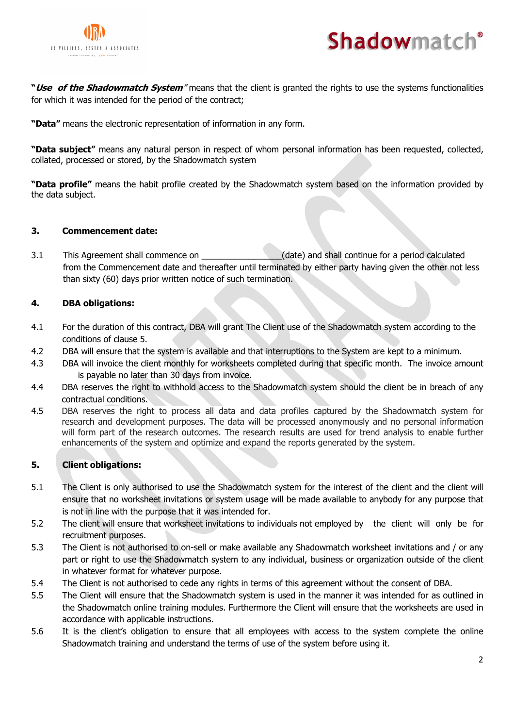



**"Use of the Shadowmatch System**" means that the client is granted the rights to use the systems functionalities for which it was intended for the period of the contract;

**"Data"** means the electronic representation of information in any form.

**"Data subject"** means any natural person in respect of whom personal information has been requested, collected, collated, processed or stored, by the Shadowmatch system

**"Data profile"** means the habit profile created by the Shadowmatch system based on the information provided by the data subject.

## **3. Commencement date:**

3.1 This Agreement shall commence on  $\qquad \qquad$  (date) and shall continue for a period calculated from the Commencement date and thereafter until terminated by either party having given the other not less than sixty (60) days prior written notice of such termination.

# **4. DBA obligations:**

- 4.1 For the duration of this contract, DBA will grant The Client use of the Shadowmatch system according to the conditions of clause 5.
- 4.2 DBA will ensure that the system is available and that interruptions to the System are kept to a minimum.
- 4.3 DBA will invoice the client monthly for worksheets completed during that specific month. The invoice amount is payable no later than 30 days from invoice.
- 4.4 DBA reserves the right to withhold access to the Shadowmatch system should the client be in breach of any contractual conditions.
- 4.5 DBA reserves the right to process all data and data profiles captured by the Shadowmatch system for research and development purposes. The data will be processed anonymously and no personal information will form part of the research outcomes. The research results are used for trend analysis to enable further enhancements of the system and optimize and expand the reports generated by the system.

# **5. Client obligations:**

- 5.1 The Client is only authorised to use the Shadowmatch system for the interest of the client and the client will ensure that no worksheet invitations or system usage will be made available to anybody for any purpose that is not in line with the purpose that it was intended for.
- 5.2 The client will ensure that worksheet invitations to individuals not employed by the client will only be for recruitment purposes.
- 5.3 The Client is not authorised to on-sell or make available any Shadowmatch worksheet invitations and / or any part or right to use the Shadowmatch system to any individual, business or organization outside of the client in whatever format for whatever purpose.
- 5.4 The Client is not authorised to cede any rights in terms of this agreement without the consent of DBA.
- 5.5 The Client will ensure that the Shadowmatch system is used in the manner it was intended for as outlined in the Shadowmatch online training modules. Furthermore the Client will ensure that the worksheets are used in accordance with applicable instructions.
- 5.6 It is the client's obligation to ensure that all employees with access to the system complete the online Shadowmatch training and understand the terms of use of the system before using it.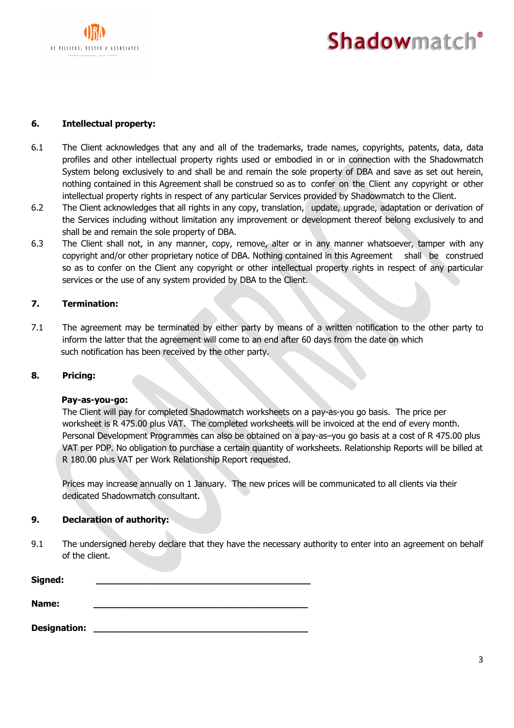

# **Shadowmatch®**

# **6. Intellectual property:**

- 6.1 The Client acknowledges that any and all of the trademarks, trade names, copyrights, patents, data, data profiles and other intellectual property rights used or embodied in or in connection with the Shadowmatch System belong exclusively to and shall be and remain the sole property of DBA and save as set out herein, nothing contained in this Agreement shall be construed so as to confer on the Client any copyright or other intellectual property rights in respect of any particular Services provided by Shadowmatch to the Client.
- 6.2 The Client acknowledges that all rights in any copy, translation, update, upgrade, adaptation or derivation of the Services including without limitation any improvement or development thereof belong exclusively to and shall be and remain the sole property of DBA.
- 6.3 The Client shall not, in any manner, copy, remove, alter or in any manner whatsoever, tamper with any copyright and/or other proprietary notice of DBA. Nothing contained in this Agreement shall be construed so as to confer on the Client any copyright or other intellectual property rights in respect of any particular services or the use of any system provided by DBA to the Client.

## **7. Termination:**

7.1 The agreement may be terminated by either party by means of a written notification to the other party to inform the latter that the agreement will come to an end after 60 days from the date on which such notification has been received by the other party.

## **8. Pricing:**

## **Pay-as-you-go:**

The Client will pay for completed Shadowmatch worksheets on a pay-as-you go basis. The price per worksheet is R 475.00 plus VAT. The completed worksheets will be invoiced at the end of every month. Personal Development Programmes can also be obtained on a pay-as–you go basis at a cost of R 475.00 plus VAT per PDP. No obligation to purchase a certain quantity of worksheets. Relationship Reports will be billed at R 180.00 plus VAT per Work Relationship Report requested.

Prices may increase annually on 1 January. The new prices will be communicated to all clients via their dedicated Shadowmatch consultant.

## **9. Declaration of authority:**

9.1 The undersigned hereby declare that they have the necessary authority to enter into an agreement on behalf of the client.

| Signed:             |  |
|---------------------|--|
| Name:               |  |
| <b>Designation:</b> |  |